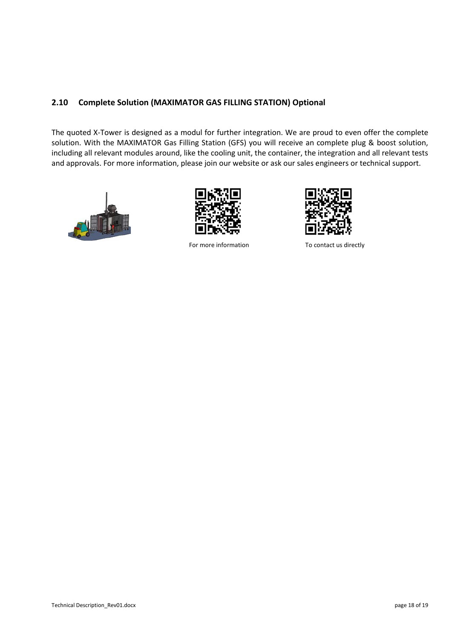## **MAXIMATOR®**



## **2.10 Complete Solution (MAXIMATOR GAS FILLING STATION) Optional**

The quoted X-Tower is designed as a modul for further integration. We are proud to even offer the complete solution. With the MAXIMATOR Gas Filling Station (GFS) you will receive an complete plug & boost solution, including all relevant modules around, like the cooling unit, the container, the integration and all relevant tests and approvals. For more information, please join our website or ask our sales engineers or technical support.





For more information To contact us directly